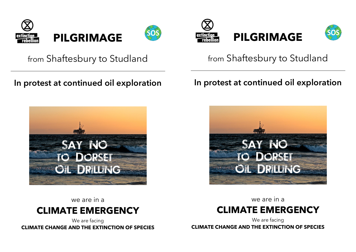



## from Shaftesbury to Studland

### **In protest at continued oil exploration**



we are in a



We are facing **CLIMATE CHANGE AND THE EXTINCTION OF SPECIES**





# from Shaftesbury to Studland

### **In protest at continued oil exploration**



we are in a

# **CLIMATE EMERGENCY**

We are facing **CLIMATE CHANGE AND THE EXTINCTION OF SPECIES**